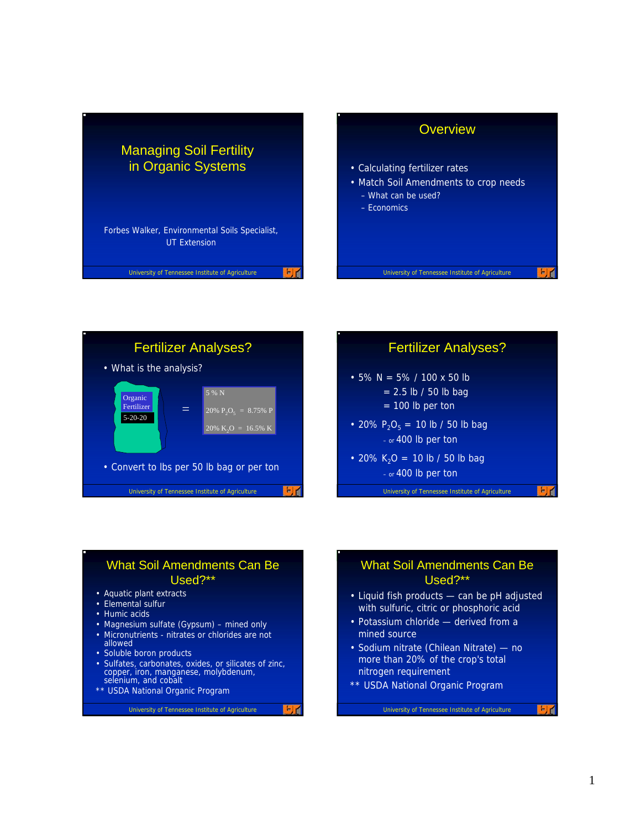





#### What Soil Amendments Can Be Used?\*\*

- Aquatic plant extracts
- Elemental sulfur
- Humic acids
- Magnesium sulfate (Gypsum) mined only
- Micronutrients nitrates or chlorides are not allowed
- Soluble boron products
- Sulfates, carbonates, oxides, or silicates of zinc, copper, iron, manganese, molybdenum, selenium, and cobalt
- \*\* USDA National Organic Program

University of Tennessee Institute of Agriculture

国道

#### What Soil Amendments Can Be Used?\*\*

- Liquid fish products can be pH adjusted with sulfuric, citric or phosphoric acid
- Potassium chloride derived from a mined source
- Sodium nitrate (Chilean Nitrate) no more than 20% of the crop's total nitrogen requirement
- \*\* USDA National Organic Program

```
University of Tennessee Institute of Agriculture
```
 $F$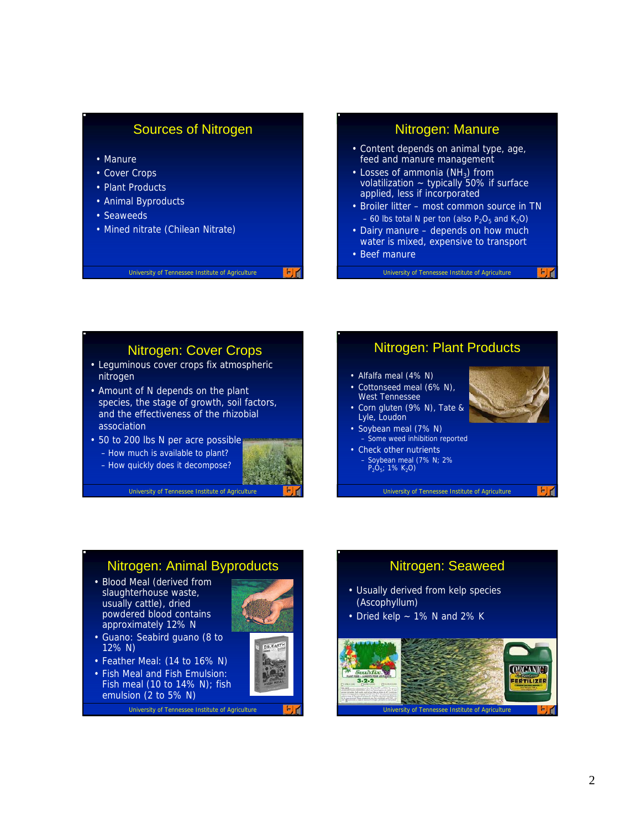## Sources of Nitrogen

- Manure
- Cover Crops
- Plant Products
- Animal Byproducts
- Seaweeds
- Mined nitrate (Chilean Nitrate)

#### University of Tennessee Institute of Agriculture

### Nitrogen: Manure

- Content depends on animal type, age, feed and manure management
- $\cdot$  Losses of ammonia (NH<sub>2</sub>) from volatilization  $\sim$  typically 50% if surface applied, less if incorporated
- Broiler litter most common source in TN  $-60$  lbs total N per ton (also  $P_2O_5$  and  $K_2O$ )
- Dairy manure depends on how much water is mixed, expensive to transport
- Beef manure

University of Tennessee Institute of Agriculture

#### Nitrogen: Cover Crops

- Leguminous cover crops fix atmospheric nitrogen
- Amount of N depends on the plant species, the stage of growth, soil factors, and the effectiveness of the rhizobial association
- 50 to 200 lbs N per acre possible
	- How much is available to plant?
	- How quickly does it decompose?

• Blood Meal (derived from slaughterhouse waste, usually cattle), dried powdered blood contains approximately 12% N • Guano: Seabird guano (8 to

• Feather Meal: (14 to 16% N) • Fish Meal and Fish Emulsion: Fish meal (10 to 14% N); fish

emulsion (2 to 5% N)

12% N)



DR, EART

University of Tennessee Institute of Agriculture

Nitrogen: Animal Byproducts

University of Tennessee Institute of Agriculture

#### Nitrogen: Plant Products

- Alfalfa meal (4% N)
- Cottonseed meal (6% N). West Tennessee
- Corn gluten (9% N), Tate & Lyle, Loudon
- Soybean meal (7% N) – Some weed inhibition reported
- Check other nutrients – Soybean meal (7% N; 2%  $P_2O_5$ ; 1% K<sub>2</sub>O)



# Nitrogen: Seaweed

- Usually derived from kelp species (Ascophyllum)
- Dried kelp  $\sim$  1% N and 2% K

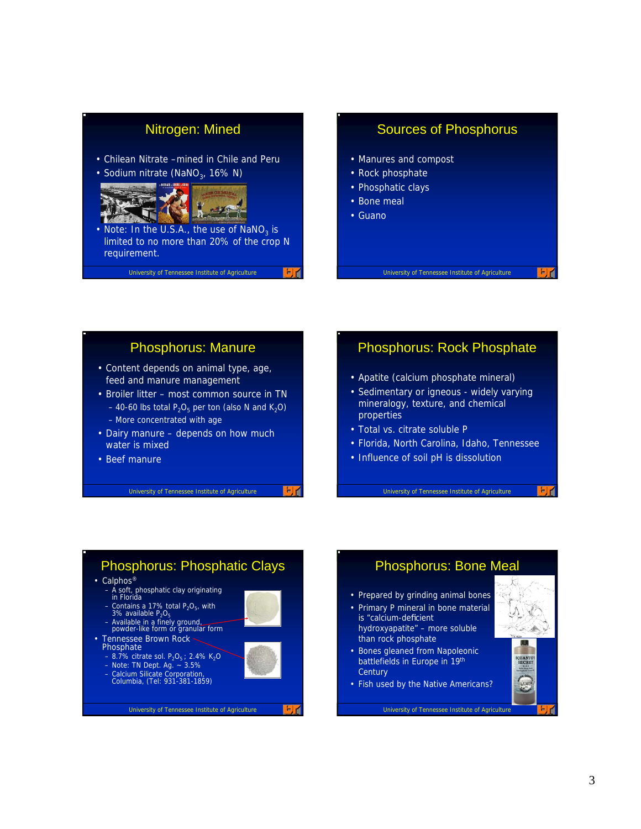## Nitrogen: Mined

- Chilean Nitrate –mined in Chile and Peru
- Sodium nitrate (NaNO<sub>3</sub>, 16% N)



• Note: In the U.S.A., the use of NaNO<sub>2</sub> is limited to no more than 20% of the crop N requirement.

University of Tennessee Institute of Agriculture

#### Sources of Phosphorus

- Manures and compost
- Rock phosphate
- Phosphatic clays
- Bone meal
- Guano

#### University of Tennessee Institute of Agriculture

#### Phosphorus: Manure

- Content depends on animal type, age, feed and manure management
- Broiler litter most common source in TN – 40-60 lbs total  $P_2O_5$  per ton (also N and K<sub>2</sub>O) – More concentrated with age
- Dairy manure depends on how much water is mixed
- Beef manure

University of Tennessee Institute of Agriculture

#### Phosphorus: Rock Phosphate

- Apatite (calcium phosphate mineral)
- Sedimentary or igneous widely varying mineralogy, texture, and chemical properties
- Total vs. citrate soluble P
- Florida, North Carolina, Idaho, Tennessee
- Influence of soil pH is dissolution

University of Tennessee Institute of Agriculture

#### Phosphorus: Phosphatic Clays • Calphos<sup>®</sup> – A soft, phosphatic clay originating in Florida – Contains a 17% total P<sub>2</sub>O<sub>5</sub>, with 3% available P<sub>2</sub>O<sub>5</sub> – Available in a finely ground, powder-like form or granular form • Tennessee Brown Rock Phosphate – 8.7% citrate sol.  $P_2O_5$ ; 2.4% K<sub>2</sub>O  $-$  Note: TN Dept. Ag.  $\sim$  3.5% – Calcium Silicate Corporation, Columbia, (Tel: 931-381-1859) EX University of Tennessee Institute of Agriculture

#### Phosphorus: Bone Meal • Prepared by grinding animal bones • Primary P mineral in bone material is "calcium-deficient hydroxyapatite" – more soluble than rock phosphate • Bones gleaned from Napoleonic battlefields in Europe in 19th **Century**

• Fish used by the Native Americans?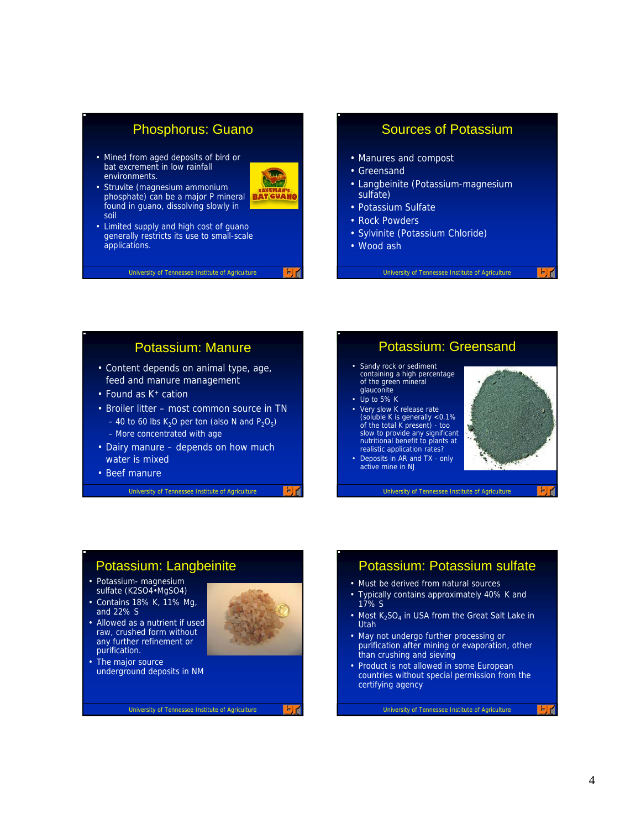### Phosphorus: Guano

• Mined from aged deposits of bird or bat excrement in low rainfall environments.



- Struvite (magnesium ammonium phosphate) can be a major P mineral **BATGVANG** found in guano, dissolving slowly in soil
- Limited supply and high cost of guano generally restricts its use to small-scale applications.

#### University of Tennessee Institute of Agriculture

#### Sources of Potassium

- Manures and compost
- Greensand
- Langbeinite (Potassium-magnesium sulfate)
- Potassium Sulfate
- Rock Powders
- Sylvinite (Potassium Chloride)
- Wood ash

University of Tennessee Institute of Agriculture

#### Potassium: Manure

- Content depends on animal type, age, feed and manure management
- Found as K<sup>+</sup> cation
- Broiler litter most common source in TN – 40 to 60 lbs K<sub>2</sub>O per ton (also N and  $P_2O_5$ ) – More concentrated with age
- Dairy manure depends on how much water is mixed
- Beef manure

University of Tennessee Institute of Agriculture

#### Potassium: Greensand

- Sandy rock or sediment containing a high percentage of the green mineral glauconite
- Up to 5% K
- Very slow K release rate (soluble K is generally <0.1% of the total K present) - too slow to provide any significant nutritional benefit to plants at realistic application rates?
- Deposits in AR and TX only active mine in NJ



University of Tennessee Institute of Agriculture

## Potassium: Langbeinite

- Potassium- magnesium sulfate (K2SO4•MgSO4)
- Contains 18% K, 11% Mg, and 22% S
- Allowed as a nutrient if used raw, crushed form without any further refinement or purification.
- 

EX

• The major source underground deposits in NM

University of Tennessee Institute of Agriculture

#### Potassium: Potassium sulfate

- Must be derived from natural sources
- Typically contains approximately 40% K and 17% S
- Most  $K_2SO_4$  in USA from the Great Salt Lake in Utah
- May not undergo further processing or purification after mining or evaporation, other than crushing and sieving
- Product is not allowed in some European countries without special permission from the certifying agency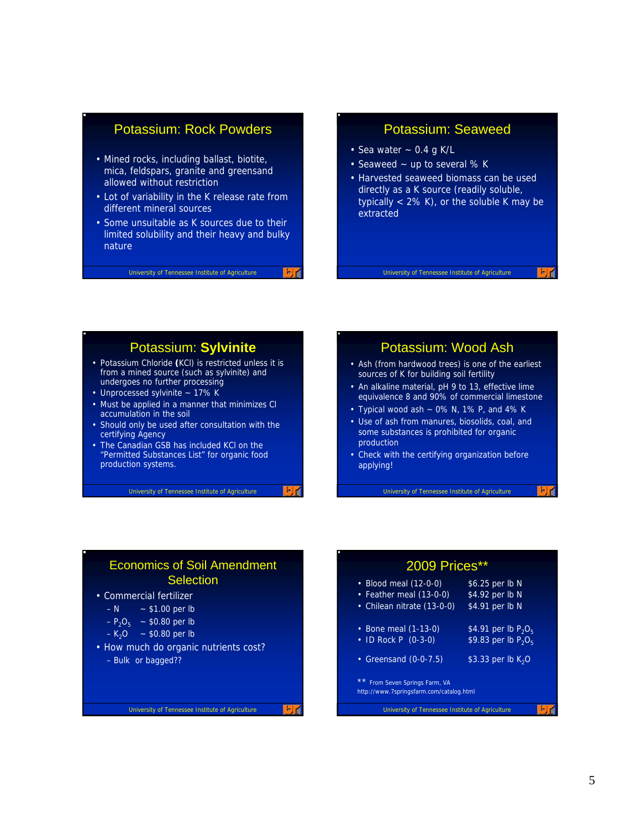## Potassium: Rock Powders

- Mined rocks, including ballast, biotite, mica, feldspars, granite and greensand allowed without restriction
- Lot of variability in the K release rate from different mineral sources
- Some unsuitable as K sources due to their limited solubility and their heavy and bulky nature

#### University of Tennessee Institute of Agriculture

#### Potassium: Seaweed

- Sea water  $\sim$  0.4 g K/L
- Seaweed ~ up to several % K
- Harvested seaweed biomass can be used directly as a K source (readily soluble, typically  $<$  2% K), or the soluble K may be extracted

#### University of Tennessee Institute of Agriculture

#### Potassium: **Sylvinite**

- Potassium Chloride **(**KCl) is restricted unless it is from a mined source (such as sylvinite) and undergoes no further processing
- Unprocessed sylvinite ~ 17% K
- Must be applied in a manner that minimizes Cl accumulation in the soil
- Should only be used after consultation with the certifying Agency
- The Canadian GSB has included KCl on the "Permitted Substances List" for organic food production systems.

University of Tennessee Institute of Agriculture

#### Potassium: Wood Ash

- Ash (from hardwood trees) is one of the earliest sources of K for building soil fertility
- An alkaline material, pH 9 to 13, effective lime equivalence 8 and 90% of commercial limestone
- Typical wood ash  $\sim$  0% N, 1% P, and 4% K
- Use of ash from manures, biosolids, coal, and some substances is prohibited for organic production
- Check with the certifying organization before applying!

University of Tennessee Institute of Agriculture

 $F$ 

#### Economics of Soil Amendment **Selection**

| • Commercial fertilizer |  |
|-------------------------|--|
|-------------------------|--|

- $-N $1.00$  per lb
- $-P_2O_5$  ~ \$0.80 per lb
- $-K_2O $0.80$  per lb
- How much do organic nutrients cost? – Bulk or bagged??

国道

2009 Prices\*\* • Blood meal (12-0-0) \$6.25 per lb N • Feather meal (13-0-0) \$4.92 per lb N • Chilean nitrate (13-0-0) \$4.91 per lb N • Bone meal (1-13-0)  $$4.91$  per lb  $P_2O_5$ <br>• ID Rock P (0-3-0)  $$9.83$  per lb  $P_2O_5$  $\cdot$  ID Rock P (0-3-0) • Greensand (0-0-7.5)  $$3.33$  per lb K<sub>2</sub>O \*\* From Seven Springs Farm, VA http://www.7springsfarm.com/catalog.html